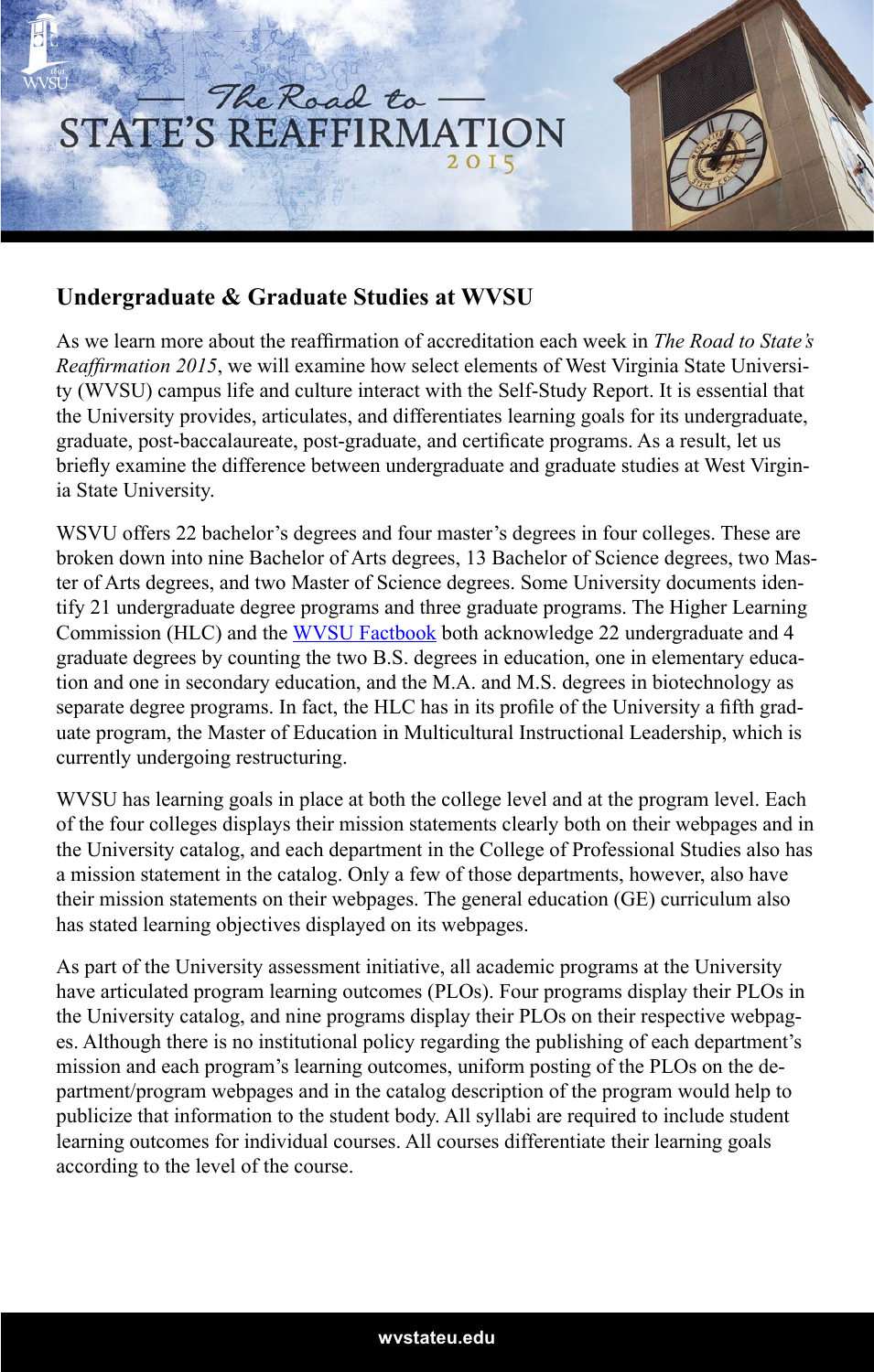

## **Undergraduate & Graduate Studies at WVSU**

As we learn more about the reaffirmation of accreditation each week in *The Road to State's Reaffirmation 2015*, we will examine how select elements of West Virginia State University (WVSU) campus life and culture interact with the Self-Study Report. It is essential that the University provides, articulates, and differentiates learning goals for its undergraduate, graduate, post-baccalaureate, post-graduate, and certificate programs. As a result, let us briefly examine the difference between undergraduate and graduate studies at West Virginia State University.

WSVU offers 22 bachelor's degrees and four master's degrees in four colleges. These are broken down into nine Bachelor of Arts degrees, 13 Bachelor of Science degrees, two Master of Arts degrees, and two Master of Science degrees. Some University documents identify 21 undergraduate degree programs and three graduate programs. The Higher Learning Commission (HLC) and the [WVSU Factbook](http://wvstateu.edu/WVStateU/media/icons/Administration/WVSU-Fact-Book-2013-2014-Online-Edition.pdf) both acknowledge 22 undergraduate and 4 graduate degrees by counting the two B.S. degrees in education, one in elementary education and one in secondary education, and the M.A. and M.S. degrees in biotechnology as separate degree programs. In fact, the HLC has in its profile of the University a fifth graduate program, the Master of Education in Multicultural Instructional Leadership, which is currently undergoing restructuring.

WVSU has learning goals in place at both the college level and at the program level. Each of the four colleges displays their mission statements clearly both on their webpages and in the University catalog, and each department in the College of Professional Studies also has a mission statement in the catalog. Only a few of those departments, however, also have their mission statements on their webpages. The general education (GE) curriculum also has stated learning objectives displayed on its webpages.

As part of the University assessment initiative, all academic programs at the University have articulated program learning outcomes (PLOs). Four programs display their PLOs in the University catalog, and nine programs display their PLOs on their respective webpages. Although there is no institutional policy regarding the publishing of each department's mission and each program's learning outcomes, uniform posting of the PLOs on the department/program webpages and in the catalog description of the program would help to publicize that information to the student body. All syllabi are required to include student learning outcomes for individual courses. All courses differentiate their learning goals according to the level of the course.